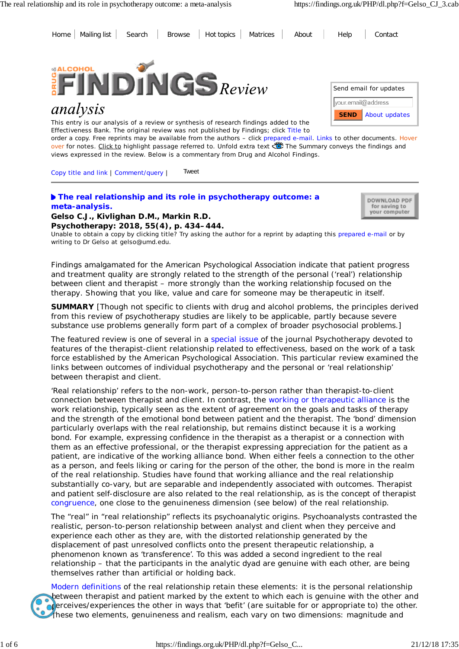Home Mailing list Search Browse Hot topics Matrices About Help Contact



# analysis

This entry is our analysis of a review or synthesis of research findings added to the Effectiveness Bank. The original review was not published by Findings; click Title to



order a copy. Free reprints may be available from the authors – click prepared e-mail. Links to other documents. Hover over for notes. Click to highlight passage referred to. Unfold extra text Wife Summary conveys the findings and views expressed in the review. Below is a commentary from Drug and Alcohol Findings.

Copy title and link | Comment/query | Tweet

#### **The real relationship and its role in psychotherapy outcome: a meta-analysis. Gelso C.J., Kivlighan D.M., Markin R.D.**

DOWNLOAD PDF for saving to your computer

**Psychotherapy: 2018, 55(4), p. 434–444.** Unable to obtain a copy by clicking title? Try asking the author for a reprint by adapting this prepared e-mail or by writing to Dr Gelso at gelso@umd.edu.

*Findings amalgamated for the American Psychological Association indicate that patient progress and treatment quality are strongly related to the strength of the personal ('real') relationship between client and therapist – more strongly than the working relationship focused on the therapy. Showing that you like, value and care for someone may be therapeutic in itself.*

**SUMMARY** [Though not specific to clients with drug and alcohol problems, the principles derived from this review of psychotherapy studies are likely to be applicable, partly because severe substance use problems generally form part of a complex of broader psychosocial problems.]

The featured review is one of several in a special issue of the journal *Psychotherapy* devoted to features of the therapist-client relationship related to effectiveness, based on the work of a task force established by the American Psychological Association. This particular review examined the links between outcomes of individual psychotherapy and the personal or 'real relationship' between therapist and client.

'Real relationship' refers to the non-work, person-to-person rather than therapist-to-client connection between therapist and client. In contrast, the working or therapeutic alliance is the work relationship, typically seen as the extent of agreement on the goals and tasks of therapy and the strength of the emotional bond between patient and the therapist. The 'bond' dimension particularly overlaps with the real relationship, but remains distinct because it is a *working* bond. For example, expressing confidence in the therapist as a therapist or a connection with them as an effective professional, or the therapist expressing appreciation for the patient as a patient, are indicative of the working alliance bond. When either feels a connection to the other as a person, and feels liking or caring for the person of the other, the bond is more in the realm of the real relationship. Studies have found that working alliance and the real relationship substantially co-vary, but are separable and independently associated with outcomes. Therapist and patient self-disclosure are also related to the real relationship, as is the concept of therapist congruence, one close to the genuineness dimension (see below) of the real relationship.

The "real" in "real relationship" reflects its psychoanalytic origins. Psychoanalysts contrasted the realistic, person-to-person relationship between analyst and client when they perceive and experience each other as they are, with the distorted relationship generated by the displacement of past unresolved conflicts onto the present therapeutic relationship, a phenomenon known as 'transference'. To this was added a second ingredient to the real relationship – that the participants in the analytic dyad are genuine with each other, are being themselves rather than artificial or holding back.

Modern definitions of the real relationship retain these elements: it is the personal relationship between therapist and patient marked by the extent to which each is genuine with the other and  $\sigma$  erceives/experiences the other in ways that 'befit' (are suitable for or appropriate to) the other. These two elements, genuineness and realism, each vary on two dimensions: magnitude and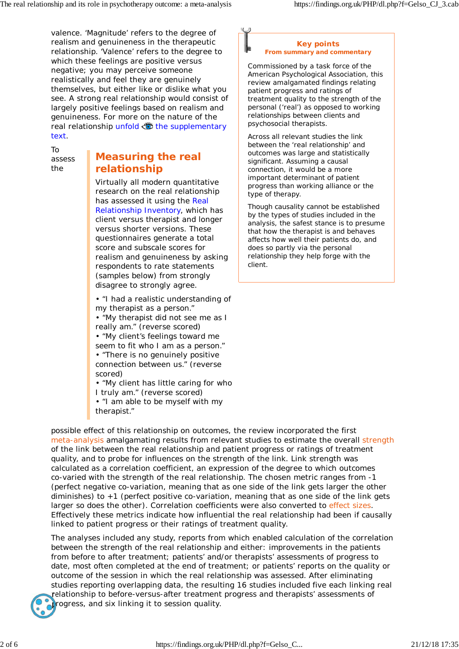valence. 'Magnitude' refers to the degree of realism and genuineness in the therapeutic relationship. 'Valence' refers to the degree to which these feelings are positive versus negative; you may perceive someone realistically and feel they are genuinely themselves, but either like or dislike what you see. A strong real relationship would consist of largely positive feelings based on realism and genuineness. For more on the nature of the real relationship unfold  $\bullet$  the supplementary text.

To assess the

## **Measuring the real relationship**

Virtually all modern quantitative research on the real relationship has assessed it using the Real Relationship Inventory, which has client versus therapist and longer versus shorter versions. These questionnaires generate a total score and subscale scores for realism and genuineness by asking respondents to rate statements (samples below) from strongly disagree to strongly agree.

• "I had a realistic understanding of my therapist as a person."

• "My therapist did not see me as I really am." (reverse scored)

• "My client's feelings toward me seem to fit who I am as a person."

• "There is no genuinely positive connection between us." (reverse scored)

• "My client has little caring for who

I truly am." (reverse scored)

• "I am able to be myself with my therapist."

#### **Key points From summary and commentary**

Commissioned by a task force of the American Psychological Association, this review amalgamated findings relating patient progress and ratings of treatment quality to the strength of the personal ('real') as opposed to working relationships between clients and psychosocial therapists.

Across all relevant studies the link between the 'real relationship' and outcomes was large and statistically significant. Assuming a causal connection, it would be a more important determinant of patient progress than working alliance or the type of therapy.

Though causality cannot be established by the types of studies included in the analysis, the safest stance is to presume that how the therapist is and behaves affects how well their patients do, and does so partly via the personal relationship they help forge with the client.

possible effect of this relationship on outcomes, the review incorporated the first meta-analysis amalgamating results from relevant studies to estimate the overall strength of the link between the real relationship and patient progress or ratings of treatment quality, and to probe for influences on the strength of the link. Link strength was calculated as a correlation coefficient, an expression of the degree to which outcomes co-varied with the strength of the real relationship. The chosen metric ranges from -1 (perfect negative co-variation, meaning that as one side of the link gets larger the other diminishes) to +1 (perfect positive co-variation, meaning that as one side of the link gets larger so does the other). Correlation coefficients were also converted to effect sizes. Effectively these metrics indicate how influential the real relationship had been if causally linked to patient progress or their ratings of treatment quality.

The analyses included any study, reports from which enabled calculation of the correlation between the strength of the real relationship and either: improvements in the patients from before to after treatment; patients' and/or therapists' assessments of progress to date, most often completed at the end of treatment; or patients' reports on the quality or outcome of the session in which the real relationship was assessed. After eliminating studies reporting overlapping data, the resulting 16 studies included five each linking real relationship to before-versus-after treatment progress and therapists' assessments of

rogress, and six linking it to session quality.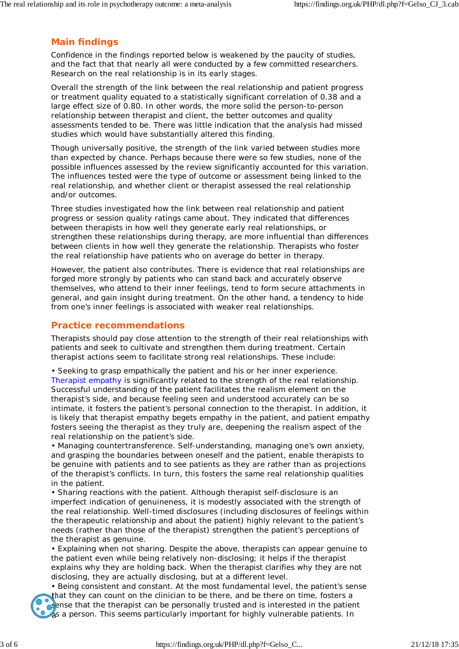## **Main findings**

Confidence in the findings reported below is weakened by the paucity of studies, and the fact that that nearly all were conducted by a few committed researchers. Research on the real relationship is in its early stages.

Overall the strength of the link between the real relationship and patient progress or treatment quality equated to a statistically significant correlation of 0.38 and a large effect size of 0.80. In other words, the more solid the person-to-person relationship between therapist and client, the better outcomes and quality assessments tended to be. There was little indication that the analysis had missed studies which would have substantially altered this finding.

Though universally positive, the strength of the link varied between studies more than expected by chance. Perhaps because there were so few studies, none of the possible influences assessed by the review significantly accounted for this variation. The influences tested were the type of outcome or assessment being linked to the real relationship, and whether client or therapist assessed the real relationship and/or outcomes.

Three studies investigated how the link between real relationship and patient progress or session quality ratings came about. They indicated that differences between therapists in how well they generate early real relationships, or strengthen these relationships during therapy, are more influential than differences between clients in how well they generate the relationship. Therapists who foster the real relationship have patients who on average do better in therapy.

However, the patient also contributes. There is evidence that real relationships are forged more strongly by patients who can stand back and accurately observe themselves, who attend to their inner feelings, tend to form secure attachments in general, and gain insight during treatment. On the other hand, a tendency to hide from one's inner feelings is associated with weaker real relationships.

#### **Practice recommendations**

Therapists should pay close attention to the strength of their real relationships with patients and seek to cultivate and strengthen them during treatment. Certain therapist actions seem to facilitate strong real relationships. These include:

• *Seeking to grasp empathically the patient and his or her inner experience.* Therapist empathy is significantly related to the strength of the real relationship. Successful understanding of the patient facilitates the realism element on the therapist's side, and because feeling seen and understood accurately can be so intimate, it fosters the patient's personal connection to the therapist. In addition, it is likely that therapist empathy begets empathy in the patient, and patient empathy fosters seeing the therapist as they truly are, deepening the realism aspect of the real relationship on the patient's side.

• *Managing countertransference.* Self-understanding, managing one's own anxiety, and grasping the boundaries between oneself and the patient, enable therapists to be genuine with patients and to see patients as they are rather than as projections of the therapist's conflicts. In turn, this fosters the same real relationship qualities in the patient.

• *Sharing reactions with the patient.* Although therapist self-disclosure is an imperfect indication of genuineness, it is modestly associated with the strength of the real relationship. Well-timed disclosures (including disclosures of feelings within the therapeutic relationship and about the patient) highly relevant to the patient's needs (rather than those of the therapist) strengthen the patient's perceptions of the therapist as genuine.

• *Explaining when not sharing.* Despite the above, therapists can appear genuine to the patient even while being relatively non-disclosing; it helps if the therapist explains why they are holding back. When the therapist clarifies why they are not disclosing, they are actually disclosing, but at a different level.

• *Being consistent and constant.* At the most fundamental level, the patient's sense that they can count on the clinician to be there, and be there on time, fosters a sense that the therapist can be personally trusted and is interested in the patient as a person. This seems particularly important for highly vulnerable patients. In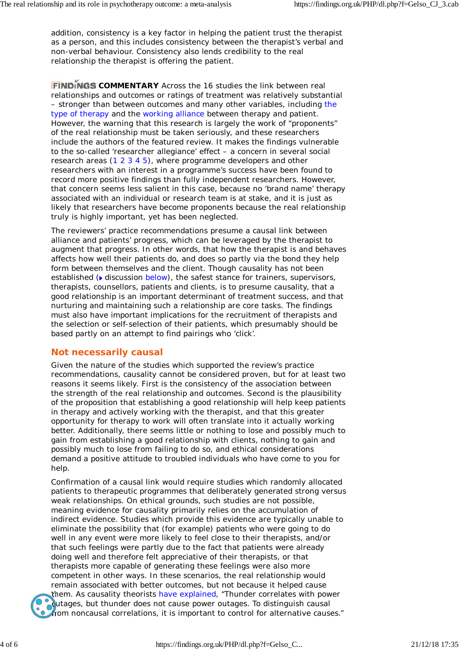addition, consistency is a key factor in helping the patient trust the therapist as a person, and this includes consistency between the therapist's verbal and non-verbal behaviour. Consistency also lends credibility to the real relationship the therapist is offering the patient.

**FINDINGS COMMENTARY** Across the 16 studies the link between real relationships and outcomes or ratings of treatment was relatively substantial – stronger than between outcomes and many other variables, including the type of therapy and the working alliance between therapy and patient. However, the warning that this research is largely the work of "proponents" of the real relationship must be taken seriously, and these researchers include the authors of the featured review. It makes the findings vulnerable to the so-called 'researcher allegiance' effect – a concern in several social research areas (1 2 3 4 5), where programme developers and other researchers with an interest in a programme's success have been found to record more positive findings than fully independent researchers. However, that concern seems less salient in this case, because no 'brand name' therapy associated with an individual or research team is at stake, and it is just as likely that researchers have become proponents because the real relationship truly is highly important, yet has been neglected.

The reviewers' practice recommendations presume a causal link between alliance and patients' progress, which can be leveraged by the therapist to augment that progress. In other words, that how the therapist is and behaves affects how well their patients do, and does so partly via the bond they help form between themselves and the client. Though causality has not been established ( $\blacktriangleright$  discussion below), the safest stance for trainers, supervisors, therapists, counsellors, patients and clients, is to presume causality, that a good relationship is an important determinant of treatment success, and that nurturing and maintaining such a relationship are core tasks. The findings must also have important implications for the recruitment of therapists and the selection or self-selection of their patients, which presumably should be based partly on an attempt to find pairings who 'click'.

## **Not** *necessarily* **causal**

Given the nature of the studies which supported the review's practice recommendations, causality cannot be considered proven, but for at least two reasons it seems likely. First is the consistency of the association between the strength of the real relationship and outcomes. Second is the plausibility of the proposition that establishing a good relationship will help keep patients in therapy and actively working with the therapist, and that this greater opportunity for therapy to work will often translate into it actually working better. Additionally, there seems little or nothing to lose and possibly much to gain from establishing a good relationship with clients, nothing to gain and possibly much to lose from failing to do so, and ethical considerations demand a positive attitude to troubled individuals who have come to you for help.

Confirmation of a causal link would require studies which randomly allocated patients to therapeutic programmes that deliberately generated strong versus weak relationships. On ethical grounds, such studies are not possible, meaning evidence for causality primarily relies on the accumulation of indirect evidence. Studies which provide this evidence are typically unable to eliminate the possibility that (for example) patients who were going to do well in any event were more likely to feel close to their therapists, and/or that such feelings were partly due to the fact that patients were already doing well and therefore felt appreciative of their therapists, or that therapists more capable of generating these feelings were also more competent in other ways. In these scenarios, the real relationship would remain *associated* with better outcomes, but not because it helped *cause*



them. As causality theorists have explained, "Thunder correlates with power outages, but thunder does not cause power outages. To distinguish causal from noncausal correlations, it is important to control for alternative causes."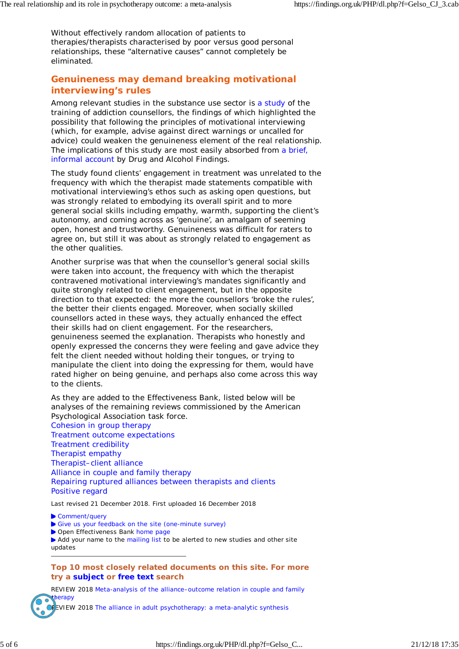Without effectively random allocation of patients to therapies/therapists characterised by poor versus good personal relationships, these "alternative causes" cannot completely be eliminated.

## **Genuineness may demand breaking motivational interviewing's rules**

Among relevant studies in the substance use sector is a study of the training of addiction counsellors, the findings of which highlighted the possibility that following the principles of motivational interviewing (which, for example, advise against direct warnings or uncalled for advice) could weaken the genuineness element of the real relationship. The implications of this study are most easily absorbed from a brief, informal account by Drug and Alcohol Findings.

The study found clients' engagement in treatment was unrelated to the frequency with which the therapist made statements compatible with motivational interviewing's ethos such as asking open questions, but was strongly related to embodying its overall spirit and to more general social skills including empathy, warmth, supporting the client's autonomy, and coming across as 'genuine', an amalgam of seeming open, honest and trustworthy. Genuineness was difficult for raters to agree on, but still it was about as strongly related to engagement as the other qualities.

Another surprise was that when the counsellor's general social skills were taken into account, the frequency with which the therapist contravened motivational interviewing's mandates significantly and quite strongly related to client engagement, but in the opposite direction to that expected: the more the counsellors 'broke the rules', the better their clients engaged. Moreover, when socially skilled counsellors acted in these ways, they actually enhanced the effect their skills had on client engagement. For the researchers, genuineness seemed the explanation. Therapists who honestly and openly expressed the concerns they were feeling and gave advice they felt the client needed without holding their tongues, or trying to manipulate the client into doing the expressing for them, would have rated higher on being genuine, and perhaps also come across this way to the clients.

As they are added to the Effectiveness Bank, listed below will be analyses of the remaining reviews commissioned by the American Psychological Association task force. Cohesion in group therapy Treatment outcome expectations Treatment credibility Therapist empathy Therapist–client alliance Alliance in couple and family therapy Repairing ruptured alliances between therapists and clients Positive regard

Last revised 21 December 2018. First uploaded 16 December 2018

Comment/query

- Give us your feedback on the site (one-minute survey)
- Open Effectiveness Bank home page

 Add your name to the mailing list to be alerted to new studies and other site updates

#### **Top 10 most closely related documents on this site. For more try a subject or free text search**

REVIEW 2018 Meta-analysis of the alliance–outcome relation in couple and family therapy EVIEW 2018 The alliance in adult psychotherapy: a meta-analytic synthesis